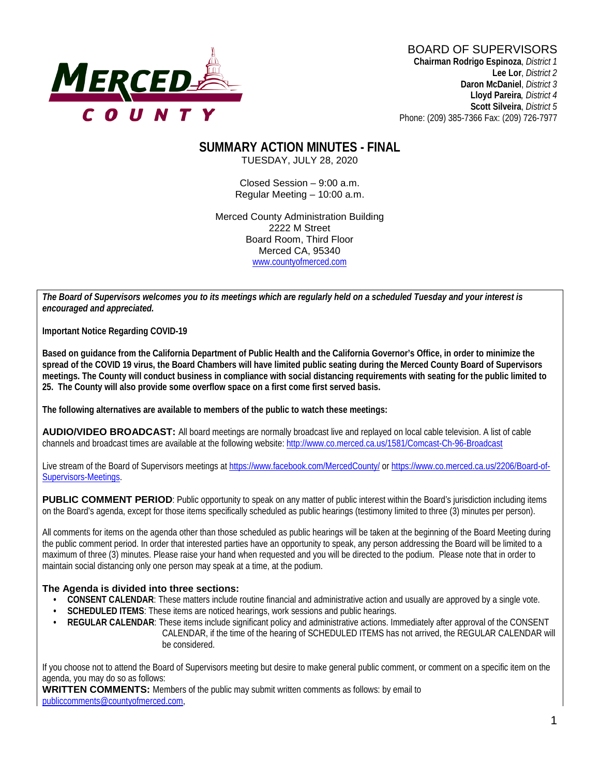

**Chairman Rodrigo Espinoza**, *District 1* **Lee Lor**, *District 2*  **Daron McDaniel**, *District 3* **Lloyd Pareira***, District 4*  **Scott Silveira**, *District 5* Phone: (209) 385-7366 Fax: (209) 726-7977

# **SUMMARY ACTION MINUTES - FINAL**

TUESDAY, JULY 28, 2020

Closed Session – 9:00 a.m. Regular Meeting – 10:00 a.m.

Merced County Administration Building 2222 M Street Board Room, Third Floor Merced CA, 95340 www.countyofmerced.com

*The Board of Supervisors welcomes you to its meetings which are regularly held on a scheduled Tuesday and your interest is encouraged and appreciated.*

**Important Notice Regarding COVID-19**

**Based on guidance from the California Department of Public Health and the California Governor's Office, in order to minimize the spread of the COVID 19 virus, the Board Chambers will have limited public seating during the Merced County Board of Supervisors meetings. The County will conduct business in compliance with social distancing requirements with seating for the public limited to 25. The County will also provide some overflow space on a first come first served basis.**

**The following alternatives are available to members of the public to watch these meetings:**

**AUDIO/VIDEO BROADCAST:** All board meetings are normally broadcast live and replayed on local cable television. A list of cable channels and broadcast times are available at the following website[: http://www.co.merced.ca.us/1581/Comcast-Ch-96-Broadcast](http://www.co.merced.ca.us/1581/Comcast-Ch-96-Broadcast)

Live stream of the Board of Supervisors meetings at<https://www.facebook.com/MercedCounty/> o[r https://www.co.merced.ca.us/2206/Board-of-](https://www.co.merced.ca.us/2206/Board-of-Supervisors-Meetings)[Supervisors-Meetings.](https://www.co.merced.ca.us/2206/Board-of-Supervisors-Meetings)

**PUBLIC COMMENT PERIOD:** Public opportunity to speak on any matter of public interest within the Board's jurisdiction including items on the Board's agenda, except for those items specifically scheduled as public hearings (testimony limited to three (3) minutes per person).

All comments for items on the agenda other than those scheduled as public hearings will be taken at the beginning of the Board Meeting during the public comment period. In order that interested parties have an opportunity to speak, any person addressing the Board will be limited to a maximum of three (3) minutes. Please raise your hand when requested and you will be directed to the podium. Please note that in order to maintain social distancing only one person may speak at a time, at the podium.

#### **The Agenda is divided into three sections:**

- **CONSENT CALENDAR**: These matters include routine financial and administrative action and usually are approved by a single vote.
- **SCHEDULED ITEMS:** These items are noticed hearings, work sessions and public hearings.
- **REGULAR CALENDAR:** These items include significant policy and administrative actions. Immediately after approval of the CONSENT CALENDAR, if the time of the hearing of SCHEDULED ITEMS has not arrived, the REGULAR CALENDAR will be considered.

If you choose not to attend the Board of Supervisors meeting but desire to make general public comment, or comment on a specific item on the agenda, you may do so as follows:

**WRITTEN COMMENTS:** Members of the public may submit written comments as follows: by email to [publiccomments@countyofmerced.com,](mailto:publiccomments@countyofmerced.com)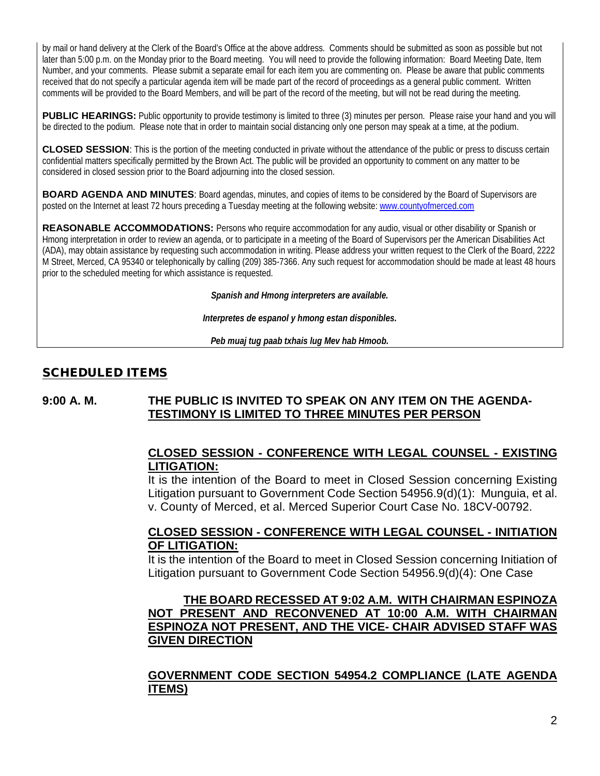by mail or hand delivery at the Clerk of the Board's Office at the above address. Comments should be submitted as soon as possible but not later than 5:00 p.m. on the Monday prior to the Board meeting. You will need to provide the following information: Board Meeting Date, Item Number, and your comments. Please submit a separate email for each item you are commenting on. Please be aware that public comments received that do not specify a particular agenda item will be made part of the record of proceedings as a general public comment. Written comments will be provided to the Board Members, and will be part of the record of the meeting, but will not be read during the meeting.

**PUBLIC HEARINGS:** Public opportunity to provide testimony is limited to three (3) minutes per person. Please raise your hand and you will be directed to the podium. Please note that in order to maintain social distancing only one person may speak at a time, at the podium.

**CLOSED SESSION**: This is the portion of the meeting conducted in private without the attendance of the public or press to discuss certain confidential matters specifically permitted by the Brown Act. The public will be provided an opportunity to comment on any matter to be considered in closed session prior to the Board adjourning into the closed session.

**BOARD AGENDA AND MINUTES:** Board agendas, minutes, and copies of items to be considered by the Board of Supervisors are posted on the Internet at least 72 hours preceding a Tuesday meeting at the following website: [www.countyofmerced.com](http://www.countyofmerced.com/) 

**REASONABLE ACCOMMODATIONS:** Persons who require accommodation for any audio, visual or other disability or Spanish or Hmong interpretation in order to review an agenda, or to participate in a meeting of the Board of Supervisors per the American Disabilities Act (ADA), may obtain assistance by requesting such accommodation in writing. Please address your written request to the Clerk of the Board, 2222 M Street, Merced, CA 95340 or telephonically by calling (209) 385-7366. Any such request for accommodation should be made at least 48 hours prior to the scheduled meeting for which assistance is requested.

*Spanish and Hmong interpreters are available.*

*Interpretes de espanol y hmong estan disponibles.*

*Peb muaj tug paab txhais lug Mev hab Hmoob.* 

#### SCHEDULED ITEMS

#### **9:00 A. M. THE PUBLIC IS INVITED TO SPEAK ON ANY ITEM ON THE AGENDA-TESTIMONY IS LIMITED TO THREE MINUTES PER PERSON**

#### **CLOSED SESSION - CONFERENCE WITH LEGAL COUNSEL - EXISTING LITIGATION:**

It is the intention of the Board to meet in Closed Session concerning Existing Litigation pursuant to Government Code Section 54956.9(d)(1): Munguia, et al. v. County of Merced, et al. Merced Superior Court Case No. 18CV-00792.

#### **CLOSED SESSION - CONFERENCE WITH LEGAL COUNSEL - INITIATION OF LITIGATION:**

It is the intention of the Board to meet in Closed Session concerning Initiation of Litigation pursuant to Government Code Section 54956.9(d)(4): One Case

#### **THE BOARD RECESSED AT 9:02 A.M. WITH CHAIRMAN ESPINOZA NOT PRESENT AND RECONVENED AT 10:00 A.M. WITH CHAIRMAN ESPINOZA NOT PRESENT, AND THE VICE- CHAIR ADVISED STAFF WAS GIVEN DIRECTION**

### **GOVERNMENT CODE SECTION 54954.2 COMPLIANCE (LATE AGENDA ITEMS)**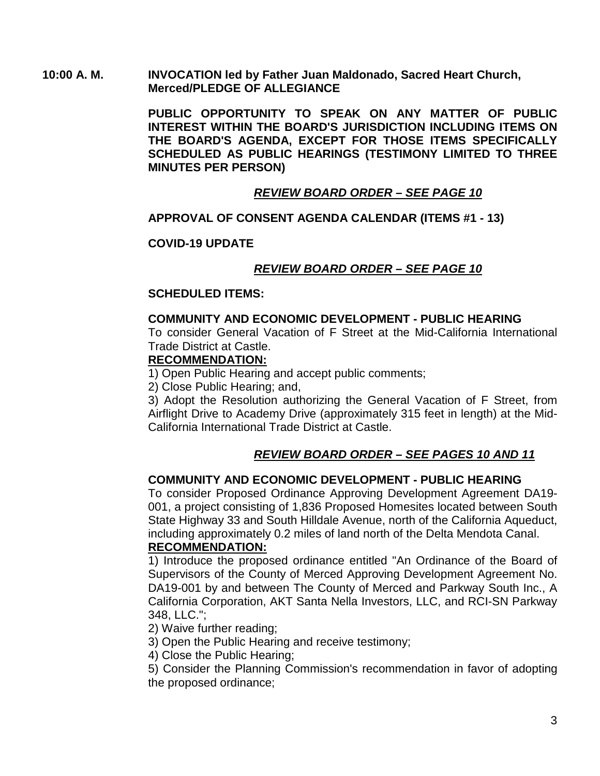#### **10:00 A. M. INVOCATION led by Father Juan Maldonado, Sacred Heart Church, Merced/PLEDGE OF ALLEGIANCE**

**PUBLIC OPPORTUNITY TO SPEAK ON ANY MATTER OF PUBLIC INTEREST WITHIN THE BOARD'S JURISDICTION INCLUDING ITEMS ON THE BOARD'S AGENDA, EXCEPT FOR THOSE ITEMS SPECIFICALLY SCHEDULED AS PUBLIC HEARINGS (TESTIMONY LIMITED TO THREE MINUTES PER PERSON)**

#### *REVIEW BOARD ORDER – SEE PAGE 10*

#### **APPROVAL OF CONSENT AGENDA CALENDAR (ITEMS #1 - 13)**

#### **COVID-19 UPDATE**

#### *REVIEW BOARD ORDER – SEE PAGE 10*

#### **SCHEDULED ITEMS:**

#### **COMMUNITY AND ECONOMIC DEVELOPMENT - PUBLIC HEARING**

To consider General Vacation of F Street at the Mid-California International Trade District at Castle.

#### **RECOMMENDATION:**

1) Open Public Hearing and accept public comments;

2) Close Public Hearing; and,

3) Adopt the Resolution authorizing the General Vacation of F Street, from Airflight Drive to Academy Drive (approximately 315 feet in length) at the Mid-California International Trade District at Castle.

### *REVIEW BOARD ORDER – SEE PAGES 10 AND 11*

#### **COMMUNITY AND ECONOMIC DEVELOPMENT - PUBLIC HEARING**

To consider Proposed Ordinance Approving Development Agreement DA19- 001, a project consisting of 1,836 Proposed Homesites located between South State Highway 33 and South Hilldale Avenue, north of the California Aqueduct, including approximately 0.2 miles of land north of the Delta Mendota Canal. **RECOMMENDATION:**

1) Introduce the proposed ordinance entitled "An Ordinance of the Board of Supervisors of the County of Merced Approving Development Agreement No. DA19-001 by and between The County of Merced and Parkway South Inc., A California Corporation, AKT Santa Nella Investors, LLC, and RCI-SN Parkway 348, LLC.";

2) Waive further reading;

3) Open the Public Hearing and receive testimony;

4) Close the Public Hearing;

5) Consider the Planning Commission's recommendation in favor of adopting the proposed ordinance;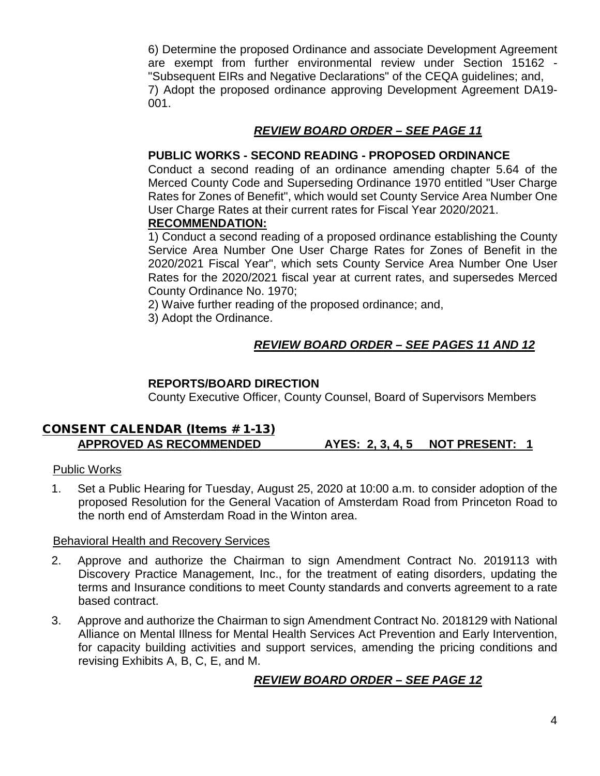6) Determine the proposed Ordinance and associate Development Agreement are exempt from further environmental review under Section 15162 - "Subsequent EIRs and Negative Declarations" of the CEQA guidelines; and, 7) Adopt the proposed ordinance approving Development Agreement DA19- 001.

#### *REVIEW BOARD ORDER – SEE PAGE 11*

#### **PUBLIC WORKS - SECOND READING - PROPOSED ORDINANCE**

Conduct a second reading of an ordinance amending chapter 5.64 of the Merced County Code and Superseding Ordinance 1970 entitled "User Charge Rates for Zones of Benefit", which would set County Service Area Number One User Charge Rates at their current rates for Fiscal Year 2020/2021.

#### **RECOMMENDATION:**

1) Conduct a second reading of a proposed ordinance establishing the County Service Area Number One User Charge Rates for Zones of Benefit in the 2020/2021 Fiscal Year", which sets County Service Area Number One User Rates for the 2020/2021 fiscal year at current rates, and supersedes Merced County Ordinance No. 1970;

2) Waive further reading of the proposed ordinance; and,

3) Adopt the Ordinance.

# *REVIEW BOARD ORDER – SEE PAGES 11 AND 12*

#### **REPORTS/BOARD DIRECTION**

County Executive Officer, County Counsel, Board of Supervisors Members

#### CONSENT CALENDAR (Items # 1-13) **APPROVED AS RECOMMENDED AYES: 2, 3, 4, 5 NOT PRESENT: 1**

#### Public Works

1. Set a Public Hearing for Tuesday, August 25, 2020 at 10:00 a.m. to consider adoption of the proposed Resolution for the General Vacation of Amsterdam Road from Princeton Road to the north end of Amsterdam Road in the Winton area.

#### Behavioral Health and Recovery Services

- 2. Approve and authorize the Chairman to sign Amendment Contract No. 2019113 with Discovery Practice Management, Inc., for the treatment of eating disorders, updating the terms and Insurance conditions to meet County standards and converts agreement to a rate based contract.
- 3. Approve and authorize the Chairman to sign Amendment Contract No. 2018129 with National Alliance on Mental Illness for Mental Health Services Act Prevention and Early Intervention, for capacity building activities and support services, amending the pricing conditions and revising Exhibits A, B, C, E, and M.

### *REVIEW BOARD ORDER – SEE PAGE 12*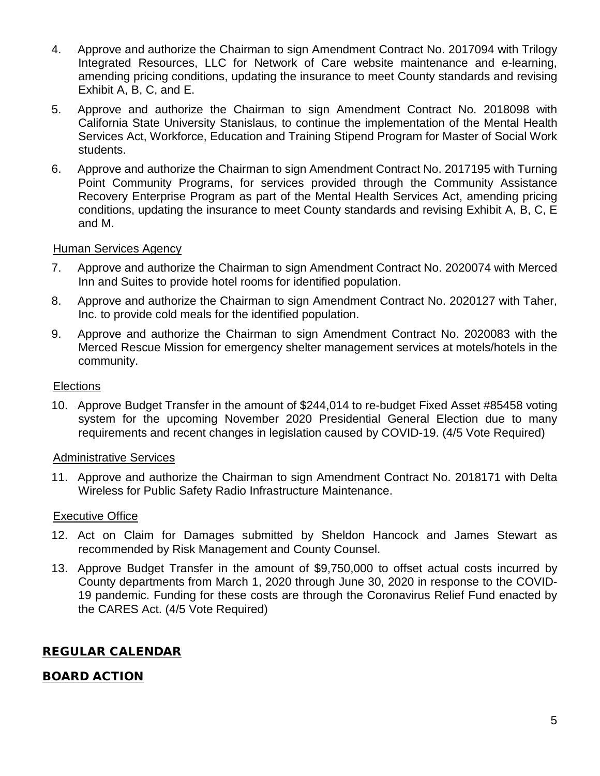- 4. Approve and authorize the Chairman to sign Amendment Contract No. 2017094 with Trilogy Integrated Resources, LLC for Network of Care website maintenance and e-learning, amending pricing conditions, updating the insurance to meet County standards and revising Exhibit A, B, C, and E.
- 5. Approve and authorize the Chairman to sign Amendment Contract No. 2018098 with California State University Stanislaus, to continue the implementation of the Mental Health Services Act, Workforce, Education and Training Stipend Program for Master of Social Work students.
- 6. Approve and authorize the Chairman to sign Amendment Contract No. 2017195 with Turning Point Community Programs, for services provided through the Community Assistance Recovery Enterprise Program as part of the Mental Health Services Act, amending pricing conditions, updating the insurance to meet County standards and revising Exhibit A, B, C, E and M.

#### Human Services Agency

- 7. Approve and authorize the Chairman to sign Amendment Contract No. 2020074 with Merced Inn and Suites to provide hotel rooms for identified population.
- 8. Approve and authorize the Chairman to sign Amendment Contract No. 2020127 with Taher, Inc. to provide cold meals for the identified population.
- 9. Approve and authorize the Chairman to sign Amendment Contract No. 2020083 with the Merced Rescue Mission for emergency shelter management services at motels/hotels in the community.

#### **Elections**

10. Approve Budget Transfer in the amount of \$244,014 to re-budget Fixed Asset #85458 voting system for the upcoming November 2020 Presidential General Election due to many requirements and recent changes in legislation caused by COVID-19. (4/5 Vote Required)

#### Administrative Services

11. Approve and authorize the Chairman to sign Amendment Contract No. 2018171 with Delta Wireless for Public Safety Radio Infrastructure Maintenance.

#### Executive Office

- 12. Act on Claim for Damages submitted by Sheldon Hancock and James Stewart as recommended by Risk Management and County Counsel.
- 13. Approve Budget Transfer in the amount of \$9,750,000 to offset actual costs incurred by County departments from March 1, 2020 through June 30, 2020 in response to the COVID-19 pandemic. Funding for these costs are through the Coronavirus Relief Fund enacted by the CARES Act. (4/5 Vote Required)

### REGULAR CALENDAR

#### BOARD ACTION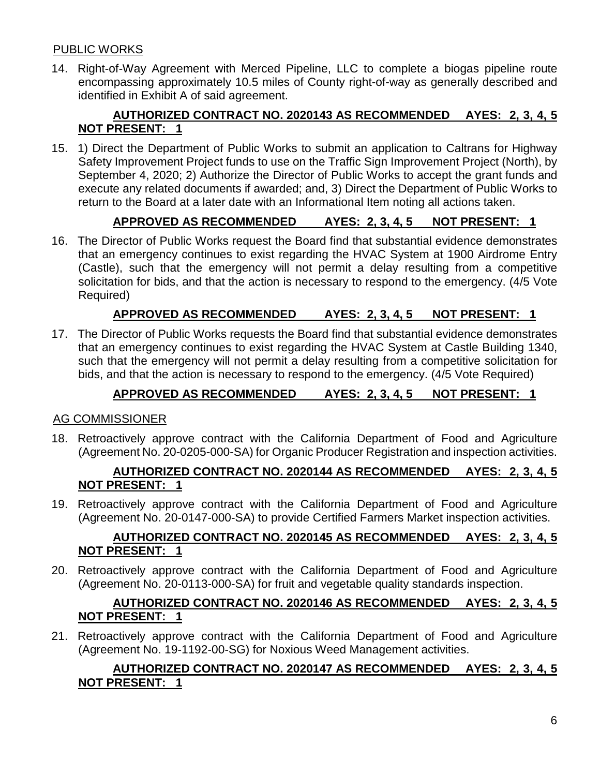### PUBLIC WORKS

14. Right-of-Way Agreement with Merced Pipeline, LLC to complete a biogas pipeline route encompassing approximately 10.5 miles of County right-of-way as generally described and identified in Exhibit A of said agreement.

# **AUTHORIZED CONTRACT NO. 2020143 AS RECOMMENDED AYES: 2, 3, 4, 5 NOT PRESENT: 1**

15. 1) Direct the Department of Public Works to submit an application to Caltrans for Highway Safety Improvement Project funds to use on the Traffic Sign Improvement Project (North), by September 4, 2020; 2) Authorize the Director of Public Works to accept the grant funds and execute any related documents if awarded; and, 3) Direct the Department of Public Works to return to the Board at a later date with an Informational Item noting all actions taken.

# **APPROVED AS RECOMMENDED AYES: 2, 3, 4, 5 NOT PRESENT: 1**

16. The Director of Public Works request the Board find that substantial evidence demonstrates that an emergency continues to exist regarding the HVAC System at 1900 Airdrome Entry (Castle), such that the emergency will not permit a delay resulting from a competitive solicitation for bids, and that the action is necessary to respond to the emergency. (4/5 Vote Required)

# **APPROVED AS RECOMMENDED AYES: 2, 3, 4, 5 NOT PRESENT: 1**

17. The Director of Public Works requests the Board find that substantial evidence demonstrates that an emergency continues to exist regarding the HVAC System at Castle Building 1340, such that the emergency will not permit a delay resulting from a competitive solicitation for bids, and that the action is necessary to respond to the emergency. (4/5 Vote Required)

# **APPROVED AS RECOMMENDED AYES: 2, 3, 4, 5 NOT PRESENT: 1**

### AG COMMISSIONER

18. Retroactively approve contract with the California Department of Food and Agriculture (Agreement No. 20-0205-000-SA) for Organic Producer Registration and inspection activities.

#### **AUTHORIZED CONTRACT NO. 2020144 AS RECOMMENDED AYES: 2, 3, 4, 5 NOT PRESENT: 1**

19. Retroactively approve contract with the California Department of Food and Agriculture (Agreement No. 20-0147-000-SA) to provide Certified Farmers Market inspection activities.

### **AUTHORIZED CONTRACT NO. 2020145 AS RECOMMENDED AYES: 2, 3, 4, 5 NOT PRESENT: 1**

20. Retroactively approve contract with the California Department of Food and Agriculture (Agreement No. 20-0113-000-SA) for fruit and vegetable quality standards inspection.

### **AUTHORIZED CONTRACT NO. 2020146 AS RECOMMENDED AYES: 2, 3, 4, 5 NOT PRESENT: 1**

21. Retroactively approve contract with the California Department of Food and Agriculture (Agreement No. 19-1192-00-SG) for Noxious Weed Management activities.

# **AUTHORIZED CONTRACT NO. 2020147 AS RECOMMENDED AYES: 2, 3, 4, 5 NOT PRESENT: 1**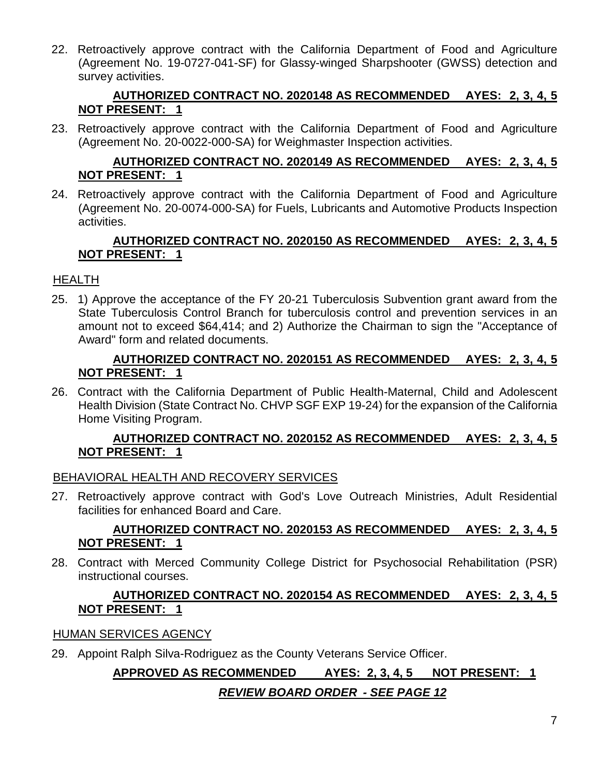22. Retroactively approve contract with the California Department of Food and Agriculture (Agreement No. 19-0727-041-SF) for Glassy-winged Sharpshooter (GWSS) detection and survey activities.

### **AUTHORIZED CONTRACT NO. 2020148 AS RECOMMENDED AYES: 2, 3, 4, 5 NOT PRESENT: 1**

23. Retroactively approve contract with the California Department of Food and Agriculture (Agreement No. 20-0022-000-SA) for Weighmaster Inspection activities.

### **AUTHORIZED CONTRACT NO. 2020149 AS RECOMMENDED AYES: 2, 3, 4, 5 NOT PRESENT: 1**

24. Retroactively approve contract with the California Department of Food and Agriculture (Agreement No. 20-0074-000-SA) for Fuels, Lubricants and Automotive Products Inspection activities.

# **AUTHORIZED CONTRACT NO. 2020150 AS RECOMMENDED AYES: 2, 3, 4, 5 NOT PRESENT: 1**

# HEALTH

25. 1) Approve the acceptance of the FY 20-21 Tuberculosis Subvention grant award from the State Tuberculosis Control Branch for tuberculosis control and prevention services in an amount not to exceed \$64,414; and 2) Authorize the Chairman to sign the "Acceptance of Award" form and related documents.

#### **AUTHORIZED CONTRACT NO. 2020151 AS RECOMMENDED AYES: 2, 3, 4, 5 NOT PRESENT: 1**

26. Contract with the California Department of Public Health-Maternal, Child and Adolescent Health Division (State Contract No. CHVP SGF EXP 19-24) for the expansion of the California Home Visiting Program.

#### **AUTHORIZED CONTRACT NO. 2020152 AS RECOMMENDED AYES: 2, 3, 4, 5 NOT PRESENT: 1**

### BEHAVIORAL HEALTH AND RECOVERY SERVICES

27. Retroactively approve contract with God's Love Outreach Ministries, Adult Residential facilities for enhanced Board and Care.

### **AUTHORIZED CONTRACT NO. 2020153 AS RECOMMENDED AYES: 2, 3, 4, 5 NOT PRESENT: 1**

28. Contract with Merced Community College District for Psychosocial Rehabilitation (PSR) instructional courses.

#### **AUTHORIZED CONTRACT NO. 2020154 AS RECOMMENDED AYES: 2, 3, 4, 5 NOT PRESENT: 1**

### HUMAN SERVICES AGENCY

29. Appoint Ralph Silva-Rodriguez as the County Veterans Service Officer.

# **APPROVED AS RECOMMENDED AYES: 2, 3, 4, 5 NOT PRESENT: 1**

### *REVIEW BOARD ORDER - SEE PAGE 12*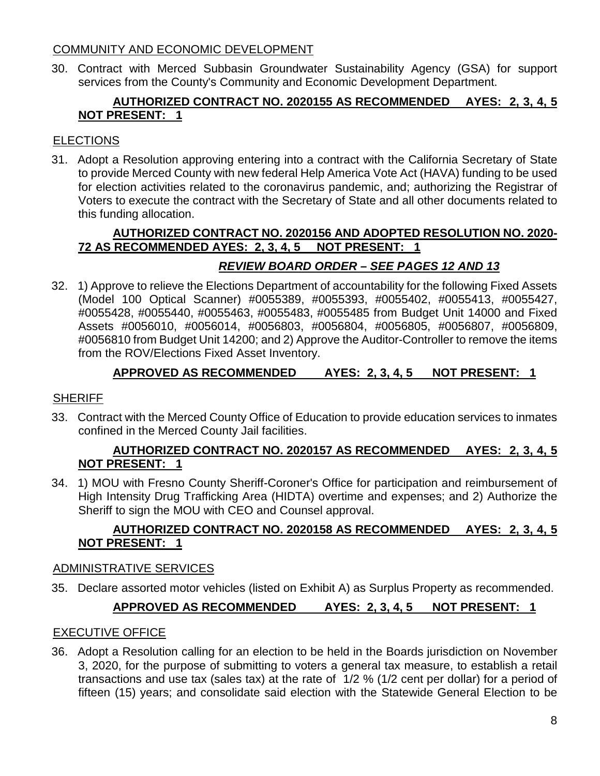#### COMMUNITY AND ECONOMIC DEVELOPMENT

30. Contract with Merced Subbasin Groundwater Sustainability Agency (GSA) for support services from the County's Community and Economic Development Department.

### **AUTHORIZED CONTRACT NO. 2020155 AS RECOMMENDED AYES: 2, 3, 4, 5 NOT PRESENT: 1**

# **ELECTIONS**

31. Adopt a Resolution approving entering into a contract with the California Secretary of State to provide Merced County with new federal Help America Vote Act (HAVA) funding to be used for election activities related to the coronavirus pandemic, and; authorizing the Registrar of Voters to execute the contract with the Secretary of State and all other documents related to this funding allocation.

### **AUTHORIZED CONTRACT NO. 2020156 AND ADOPTED RESOLUTION NO. 2020- 72 AS RECOMMENDED AYES: 2, 3, 4, 5 NOT PRESENT: 1**

# *REVIEW BOARD ORDER – SEE PAGES 12 AND 13*

32. 1) Approve to relieve the Elections Department of accountability for the following Fixed Assets (Model 100 Optical Scanner) #0055389, #0055393, #0055402, #0055413, #0055427, #0055428, #0055440, #0055463, #0055483, #0055485 from Budget Unit 14000 and Fixed Assets #0056010, #0056014, #0056803, #0056804, #0056805, #0056807, #0056809, #0056810 from Budget Unit 14200; and 2) Approve the Auditor-Controller to remove the items from the ROV/Elections Fixed Asset Inventory.

# **APPROVED AS RECOMMENDED AYES: 2, 3, 4, 5 NOT PRESENT: 1**

### **SHERIFF**

33. Contract with the Merced County Office of Education to provide education services to inmates confined in the Merced County Jail facilities.

### **AUTHORIZED CONTRACT NO. 2020157 AS RECOMMENDED AYES: 2, 3, 4, 5 NOT PRESENT: 1**

34. 1) MOU with Fresno County Sheriff-Coroner's Office for participation and reimbursement of High Intensity Drug Trafficking Area (HIDTA) overtime and expenses; and 2) Authorize the Sheriff to sign the MOU with CEO and Counsel approval.

### **AUTHORIZED CONTRACT NO. 2020158 AS RECOMMENDED AYES: 2, 3, 4, 5 NOT PRESENT: 1**

### ADMINISTRATIVE SERVICES

35. Declare assorted motor vehicles (listed on Exhibit A) as Surplus Property as recommended.

### **APPROVED AS RECOMMENDED AYES: 2, 3, 4, 5 NOT PRESENT: 1**

### EXECUTIVE OFFICE

36. Adopt a Resolution calling for an election to be held in the Boards jurisdiction on November 3, 2020, for the purpose of submitting to voters a general tax measure, to establish a retail transactions and use tax (sales tax) at the rate of 1/2 % (1/2 cent per dollar) for a period of fifteen (15) years; and consolidate said election with the Statewide General Election to be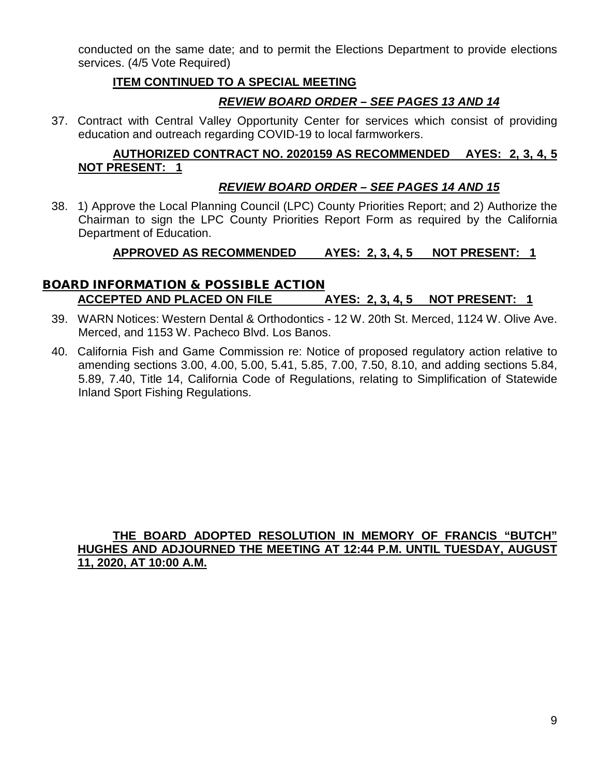conducted on the same date; and to permit the Elections Department to provide elections services. (4/5 Vote Required)

### **ITEM CONTINUED TO A SPECIAL MEETING**

# *REVIEW BOARD ORDER – SEE PAGES 13 AND 14*

37. Contract with Central Valley Opportunity Center for services which consist of providing education and outreach regarding COVID-19 to local farmworkers.

#### **AUTHORIZED CONTRACT NO. 2020159 AS RECOMMENDED AYES: 2, 3, 4, 5 NOT PRESENT: 1**

### *REVIEW BOARD ORDER – SEE PAGES 14 AND 15*

38. 1) Approve the Local Planning Council (LPC) County Priorities Report; and 2) Authorize the Chairman to sign the LPC County Priorities Report Form as required by the California Department of Education.

# **APPROVED AS RECOMMENDED AYES: 2, 3, 4, 5 NOT PRESENT: 1**

# BOARD INFORMATION & POSSIBLE ACTION **ACCEPTED AND PLACED ON FILE AYES: 2, 3, 4, 5 NOT PRESENT: 1**

- 39. WARN Notices: Western Dental & Orthodontics 12 W. 20th St. Merced, 1124 W. Olive Ave. Merced, and 1153 W. Pacheco Blvd. Los Banos.
- 40. California Fish and Game Commission re: Notice of proposed regulatory action relative to amending sections 3.00, 4.00, 5.00, 5.41, 5.85, 7.00, 7.50, 8.10, and adding sections 5.84, 5.89, 7.40, Title 14, California Code of Regulations, relating to Simplification of Statewide Inland Sport Fishing Regulations.

#### **THE BOARD ADOPTED RESOLUTION IN MEMORY OF FRANCIS "BUTCH" HUGHES AND ADJOURNED THE MEETING AT 12:44 P.M. UNTIL TUESDAY, AUGUST 11, 2020, AT 10:00 A.M.**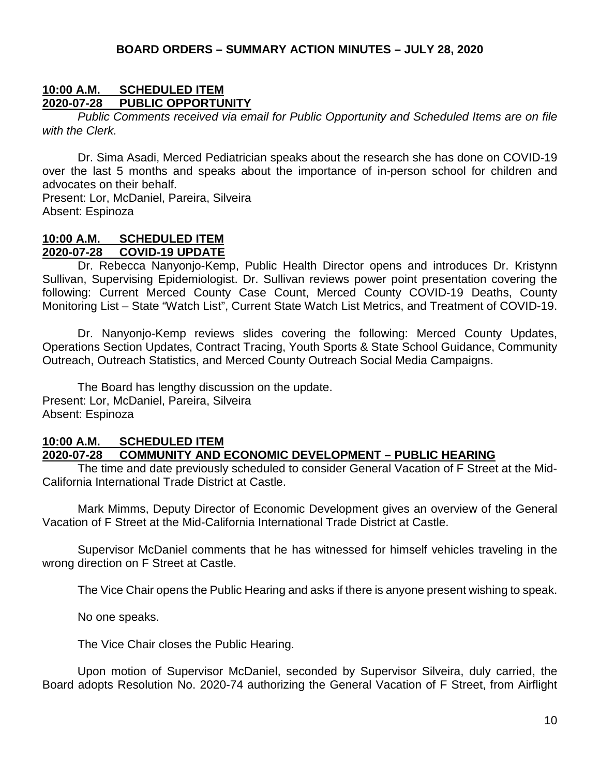#### **10:00 A.M. SCHEDULED ITEM 2020-07-28 PUBLIC OPPORTUNITY**

*Public Comments received via email for Public Opportunity and Scheduled Items are on file with the Clerk.*

Dr. Sima Asadi, Merced Pediatrician speaks about the research she has done on COVID-19 over the last 5 months and speaks about the importance of in-person school for children and advocates on their behalf.

Present: Lor, McDaniel, Pareira, Silveira Absent: Espinoza

#### **10:00 A.M. SCHEDULED ITEM 2020-07-28 COVID-19 UPDATE**

Dr. Rebecca Nanyonjo-Kemp, Public Health Director opens and introduces Dr. Kristynn Sullivan, Supervising Epidemiologist. Dr. Sullivan reviews power point presentation covering the following: Current Merced County Case Count, Merced County COVID-19 Deaths, County Monitoring List – State "Watch List", Current State Watch List Metrics, and Treatment of COVID-19.

Dr. Nanyonjo-Kemp reviews slides covering the following: Merced County Updates, Operations Section Updates, Contract Tracing, Youth Sports & State School Guidance, Community Outreach, Outreach Statistics, and Merced County Outreach Social Media Campaigns.

The Board has lengthy discussion on the update. Present: Lor, McDaniel, Pareira, Silveira Absent: Espinoza

# **10:00 A.M. SCHEDULED ITEM**

#### **2020-07-28 COMMUNITY AND ECONOMIC DEVELOPMENT – PUBLIC HEARING**

The time and date previously scheduled to consider General Vacation of F Street at the Mid-California International Trade District at Castle.

Mark Mimms, Deputy Director of Economic Development gives an overview of the General Vacation of F Street at the Mid-California International Trade District at Castle.

Supervisor McDaniel comments that he has witnessed for himself vehicles traveling in the wrong direction on F Street at Castle.

The Vice Chair opens the Public Hearing and asks if there is anyone present wishing to speak.

No one speaks.

The Vice Chair closes the Public Hearing.

Upon motion of Supervisor McDaniel, seconded by Supervisor Silveira, duly carried, the Board adopts Resolution No. 2020-74 authorizing the General Vacation of F Street, from Airflight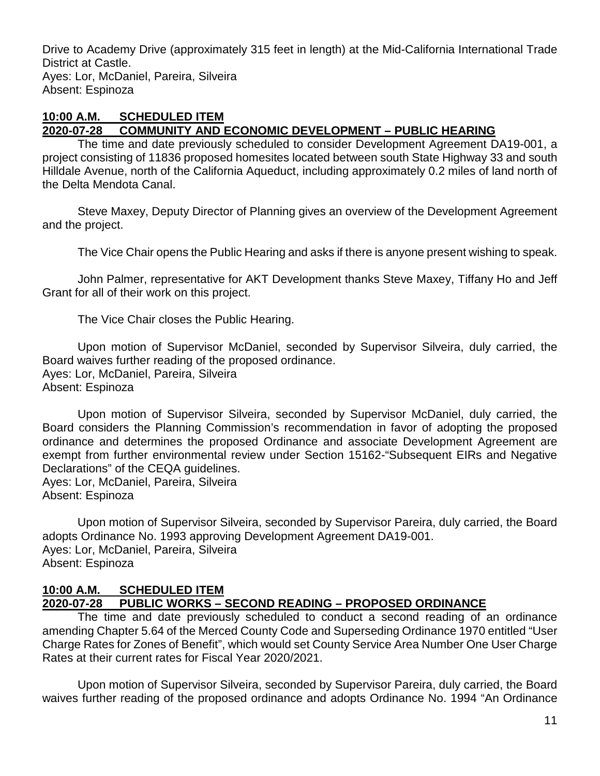Drive to Academy Drive (approximately 315 feet in length) at the Mid-California International Trade District at Castle. Ayes: Lor, McDaniel, Pareira, Silveira Absent: Espinoza

#### **10:00 A.M. SCHEDULED ITEM 2020-07-28 COMMUNITY AND ECONOMIC DEVELOPMENT – PUBLIC HEARING**

The time and date previously scheduled to consider Development Agreement DA19-001, a project consisting of 11836 proposed homesites located between south State Highway 33 and south Hilldale Avenue, north of the California Aqueduct, including approximately 0.2 miles of land north of the Delta Mendota Canal.

Steve Maxey, Deputy Director of Planning gives an overview of the Development Agreement and the project.

The Vice Chair opens the Public Hearing and asks if there is anyone present wishing to speak.

John Palmer, representative for AKT Development thanks Steve Maxey, Tiffany Ho and Jeff Grant for all of their work on this project.

The Vice Chair closes the Public Hearing.

Upon motion of Supervisor McDaniel, seconded by Supervisor Silveira, duly carried, the Board waives further reading of the proposed ordinance. Ayes: Lor, McDaniel, Pareira, Silveira Absent: Espinoza

Upon motion of Supervisor Silveira, seconded by Supervisor McDaniel, duly carried, the Board considers the Planning Commission's recommendation in favor of adopting the proposed ordinance and determines the proposed Ordinance and associate Development Agreement are exempt from further environmental review under Section 15162-"Subsequent EIRs and Negative Declarations" of the CEQA guidelines.

Ayes: Lor, McDaniel, Pareira, Silveira Absent: Espinoza

Upon motion of Supervisor Silveira, seconded by Supervisor Pareira, duly carried, the Board adopts Ordinance No. 1993 approving Development Agreement DA19-001. Ayes: Lor, McDaniel, Pareira, Silveira Absent: Espinoza

#### **10:00 A.M. SCHEDULED ITEM 2020-07-28 PUBLIC WORKS – SECOND READING – PROPOSED ORDINANCE**

The time and date previously scheduled to conduct a second reading of an ordinance amending Chapter 5.64 of the Merced County Code and Superseding Ordinance 1970 entitled "User Charge Rates for Zones of Benefit", which would set County Service Area Number One User Charge Rates at their current rates for Fiscal Year 2020/2021.

Upon motion of Supervisor Silveira, seconded by Supervisor Pareira, duly carried, the Board waives further reading of the proposed ordinance and adopts Ordinance No. 1994 "An Ordinance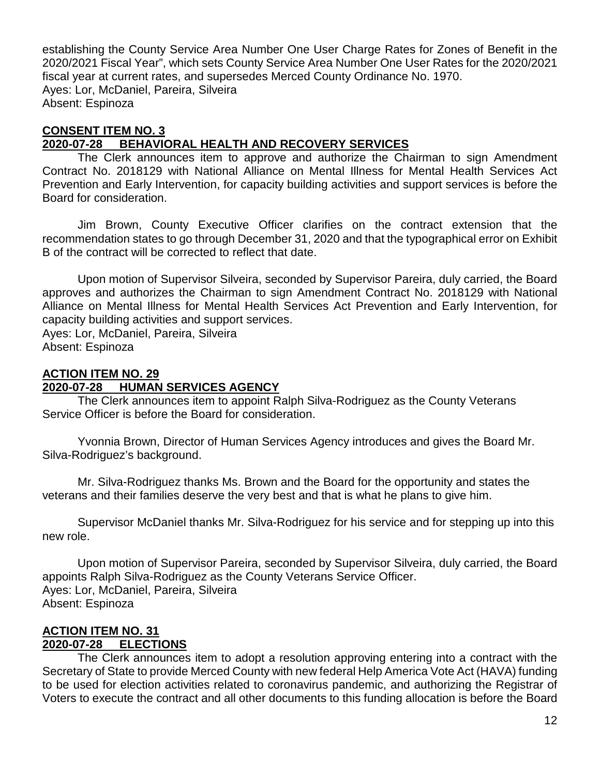establishing the County Service Area Number One User Charge Rates for Zones of Benefit in the 2020/2021 Fiscal Year", which sets County Service Area Number One User Rates for the 2020/2021 fiscal year at current rates, and supersedes Merced County Ordinance No. 1970. Ayes: Lor, McDaniel, Pareira, Silveira Absent: Espinoza

# **CONSENT ITEM NO. 3**

# **2020-07-28 BEHAVIORAL HEALTH AND RECOVERY SERVICES**

The Clerk announces item to approve and authorize the Chairman to sign Amendment Contract No. 2018129 with National Alliance on Mental Illness for Mental Health Services Act Prevention and Early Intervention, for capacity building activities and support services is before the Board for consideration.

Jim Brown, County Executive Officer clarifies on the contract extension that the recommendation states to go through December 31, 2020 and that the typographical error on Exhibit B of the contract will be corrected to reflect that date.

Upon motion of Supervisor Silveira, seconded by Supervisor Pareira, duly carried, the Board approves and authorizes the Chairman to sign Amendment Contract No. 2018129 with National Alliance on Mental Illness for Mental Health Services Act Prevention and Early Intervention, for capacity building activities and support services. Ayes: Lor, McDaniel, Pareira, Silveira

Absent: Espinoza

### **ACTION ITEM NO. 29**

#### **2020-07-28 HUMAN SERVICES AGENCY**

The Clerk announces item to appoint Ralph Silva-Rodriguez as the County Veterans Service Officer is before the Board for consideration.

Yvonnia Brown, Director of Human Services Agency introduces and gives the Board Mr. Silva-Rodriguez's background.

Mr. Silva-Rodriguez thanks Ms. Brown and the Board for the opportunity and states the veterans and their families deserve the very best and that is what he plans to give him.

Supervisor McDaniel thanks Mr. Silva-Rodriguez for his service and for stepping up into this new role.

Upon motion of Supervisor Pareira, seconded by Supervisor Silveira, duly carried, the Board appoints Ralph Silva-Rodriguez as the County Veterans Service Officer. Ayes: Lor, McDaniel, Pareira, Silveira Absent: Espinoza

#### **ACTION ITEM NO. 31 2020-07-28 ELECTIONS**

The Clerk announces item to adopt a resolution approving entering into a contract with the Secretary of State to provide Merced County with new federal Help America Vote Act (HAVA) funding to be used for election activities related to coronavirus pandemic, and authorizing the Registrar of Voters to execute the contract and all other documents to this funding allocation is before the Board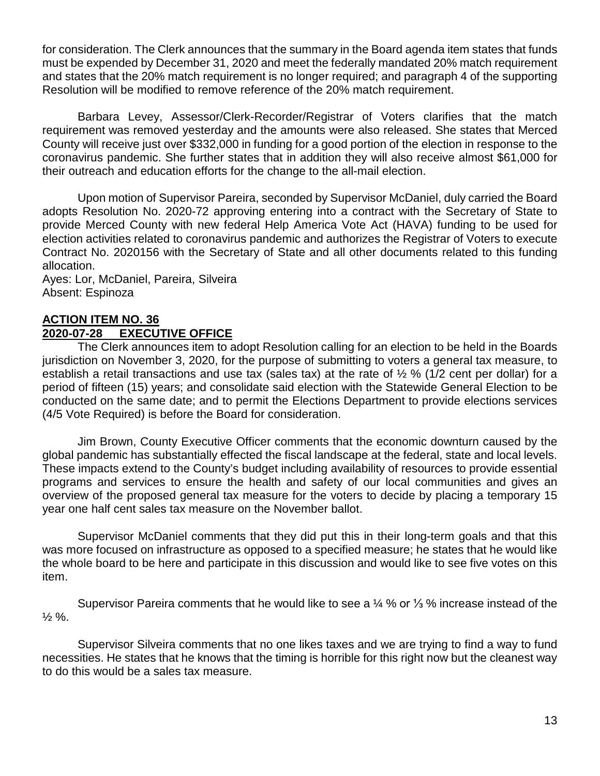for consideration. The Clerk announces that the summary in the Board agenda item states that funds must be expended by December 31, 2020 and meet the federally mandated 20% match requirement and states that the 20% match requirement is no longer required; and paragraph 4 of the supporting Resolution will be modified to remove reference of the 20% match requirement.

Barbara Levey, Assessor/Clerk-Recorder/Registrar of Voters clarifies that the match requirement was removed yesterday and the amounts were also released. She states that Merced County will receive just over \$332,000 in funding for a good portion of the election in response to the coronavirus pandemic. She further states that in addition they will also receive almost \$61,000 for their outreach and education efforts for the change to the all-mail election.

Upon motion of Supervisor Pareira, seconded by Supervisor McDaniel, duly carried the Board adopts Resolution No. 2020-72 approving entering into a contract with the Secretary of State to provide Merced County with new federal Help America Vote Act (HAVA) funding to be used for election activities related to coronavirus pandemic and authorizes the Registrar of Voters to execute Contract No. 2020156 with the Secretary of State and all other documents related to this funding allocation.

Ayes: Lor, McDaniel, Pareira, Silveira Absent: Espinoza

#### **ACTION ITEM NO. 36 2020-07-28 EXECUTIVE OFFICE**

The Clerk announces item to adopt Resolution calling for an election to be held in the Boards jurisdiction on November 3, 2020, for the purpose of submitting to voters a general tax measure, to establish a retail transactions and use tax (sales tax) at the rate of  $\frac{1}{2}$  % (1/2 cent per dollar) for a period of fifteen (15) years; and consolidate said election with the Statewide General Election to be conducted on the same date; and to permit the Elections Department to provide elections services (4/5 Vote Required) is before the Board for consideration.

Jim Brown, County Executive Officer comments that the economic downturn caused by the global pandemic has substantially effected the fiscal landscape at the federal, state and local levels. These impacts extend to the County's budget including availability of resources to provide essential programs and services to ensure the health and safety of our local communities and gives an overview of the proposed general tax measure for the voters to decide by placing a temporary 15 year one half cent sales tax measure on the November ballot.

Supervisor McDaniel comments that they did put this in their long-term goals and that this was more focused on infrastructure as opposed to a specified measure; he states that he would like the whole board to be here and participate in this discussion and would like to see five votes on this item.

Supervisor Pareira comments that he would like to see a ¼ % or ⅓ % increase instead of the  $\frac{1}{2}$  %.

Supervisor Silveira comments that no one likes taxes and we are trying to find a way to fund necessities. He states that he knows that the timing is horrible for this right now but the cleanest way to do this would be a sales tax measure.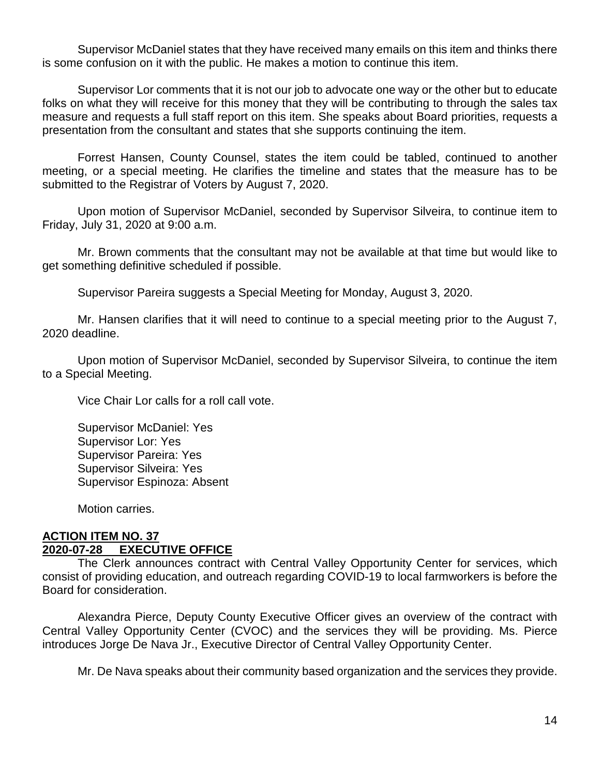Supervisor McDaniel states that they have received many emails on this item and thinks there is some confusion on it with the public. He makes a motion to continue this item.

Supervisor Lor comments that it is not our job to advocate one way or the other but to educate folks on what they will receive for this money that they will be contributing to through the sales tax measure and requests a full staff report on this item. She speaks about Board priorities, requests a presentation from the consultant and states that she supports continuing the item.

Forrest Hansen, County Counsel, states the item could be tabled, continued to another meeting, or a special meeting. He clarifies the timeline and states that the measure has to be submitted to the Registrar of Voters by August 7, 2020.

Upon motion of Supervisor McDaniel, seconded by Supervisor Silveira, to continue item to Friday, July 31, 2020 at 9:00 a.m.

Mr. Brown comments that the consultant may not be available at that time but would like to get something definitive scheduled if possible.

Supervisor Pareira suggests a Special Meeting for Monday, August 3, 2020.

Mr. Hansen clarifies that it will need to continue to a special meeting prior to the August 7, 2020 deadline.

Upon motion of Supervisor McDaniel, seconded by Supervisor Silveira, to continue the item to a Special Meeting.

Vice Chair Lor calls for a roll call vote.

Supervisor McDaniel: Yes Supervisor Lor: Yes Supervisor Pareira: Yes Supervisor Silveira: Yes Supervisor Espinoza: Absent

Motion carries.

#### **ACTION ITEM NO. 37 2020-07-28 EXECUTIVE OFFICE**

The Clerk announces contract with Central Valley Opportunity Center for services, which consist of providing education, and outreach regarding COVID-19 to local farmworkers is before the Board for consideration.

Alexandra Pierce, Deputy County Executive Officer gives an overview of the contract with Central Valley Opportunity Center (CVOC) and the services they will be providing. Ms. Pierce introduces Jorge De Nava Jr., Executive Director of Central Valley Opportunity Center.

Mr. De Nava speaks about their community based organization and the services they provide.